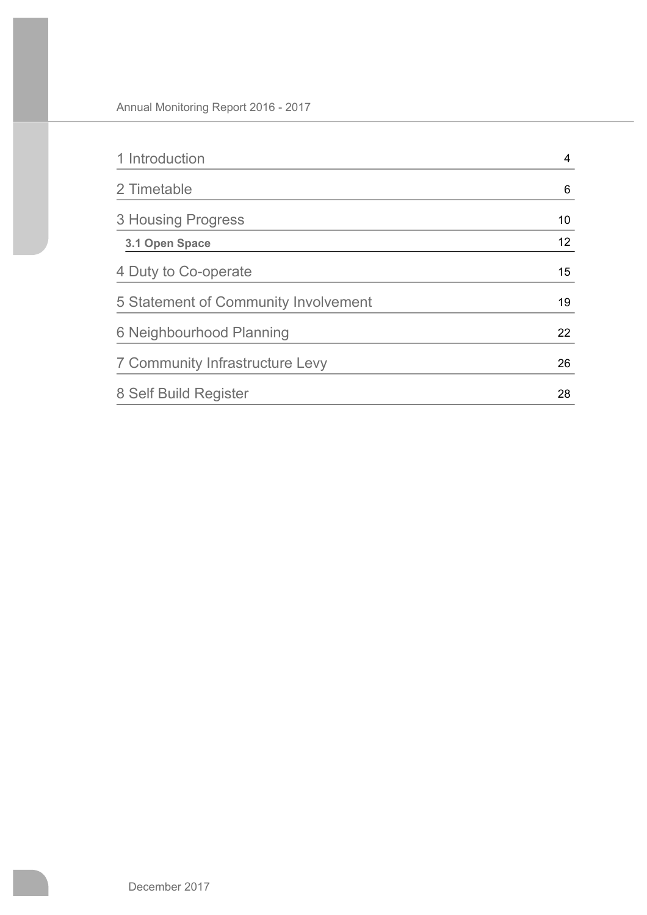| 1 Introduction                       | 4  |
|--------------------------------------|----|
| 2 Timetable                          | 6  |
| 3 Housing Progress                   | 10 |
| 3.1 Open Space                       | 12 |
| 4 Duty to Co-operate                 | 15 |
| 5 Statement of Community Involvement | 19 |
| 6 Neighbourhood Planning             | 22 |
| 7 Community Infrastructure Levy      | 26 |
| 8 Self Build Register                | 28 |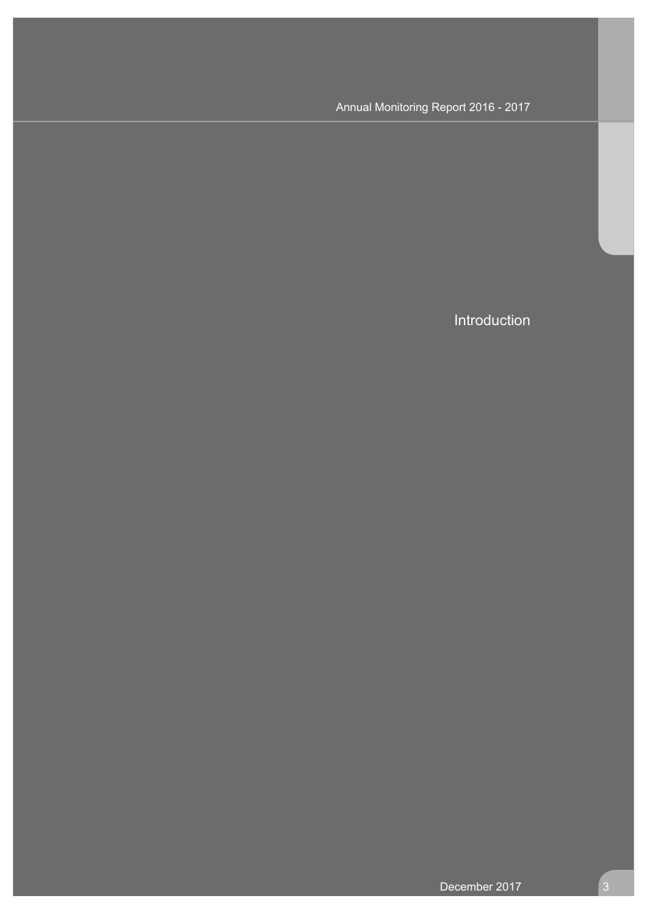Introduction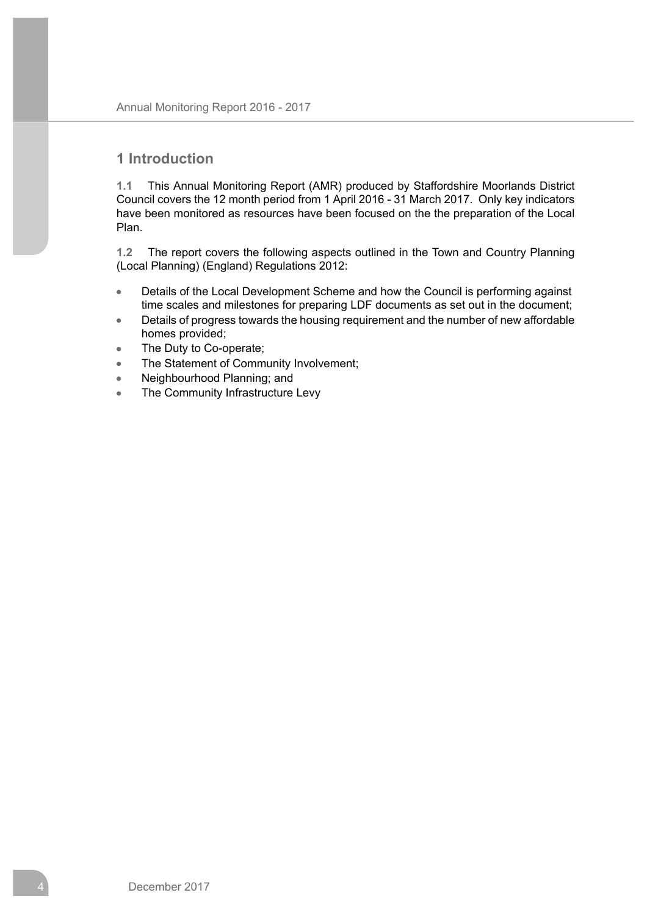## **1 Introduction**

**1.1** This Annual Monitoring Report (AMR) produced by Staffordshire Moorlands District Council covers the 12 month period from 1 April 2016 - 31 March 2017. Only key indicators have been monitored as resources have been focused on the the preparation of the Local Plan.

**1.2** The report covers the following aspects outlined in the Town and Country Planning (Local Planning) (England) Regulations 2012:

- Details of the Local Development Scheme and how the Council is performing against  $\bullet$ time scales and milestones for preparing LDF documents as set out in the document;
- Details of progress towards the housing requirement and the number of new affordable  $\blacksquare$ homes provided;
- The Duty to Co-operate;  $\bullet$
- The Statement of Community Involvement;  $\bullet$
- Neighbourhood Planning; and  $\bullet$
- The Community Infrastructure Levy  $\lambda$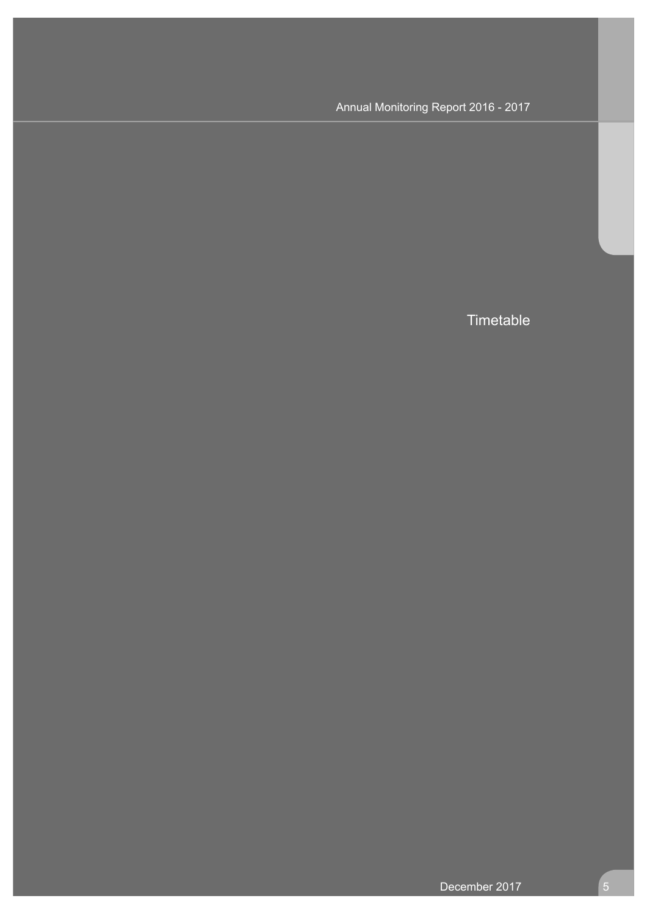**Timetable**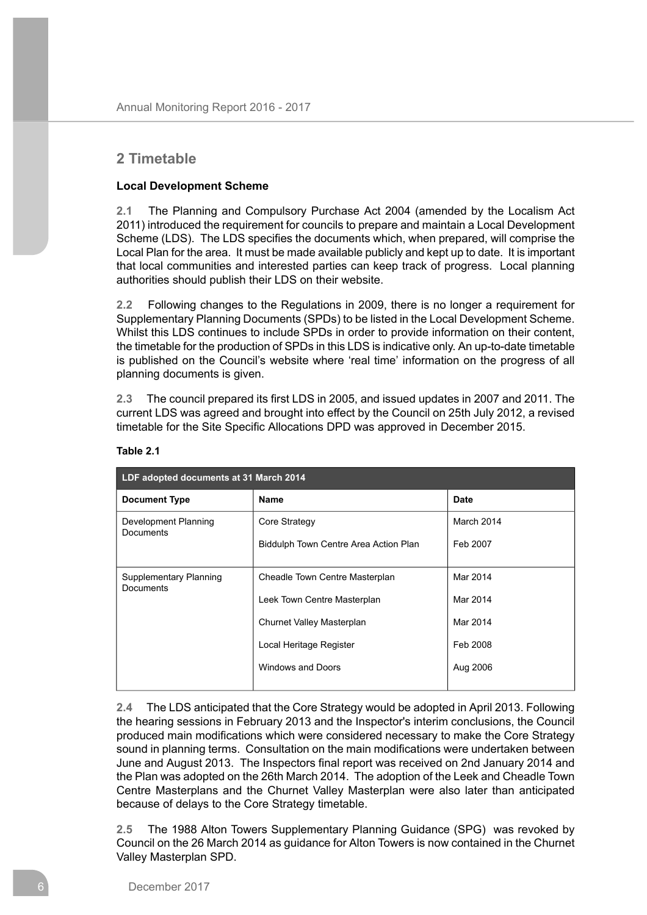## **2 Timetable**

## **Local Development Scheme**

**2.1** The Planning and Compulsory Purchase Act 2004 (amended by the Localism Act 2011) introduced the requirement for councils to prepare and maintain a Local Development Scheme (LDS). The LDS specifies the documents which, when prepared, will comprise the Local Plan for the area. It must be made available publicly and kept up to date. It is important that local communities and interested parties can keep track of progress. Local planning authorities should publish their LDS on their website.

**2.2** Following changes to the Regulations in 2009, there is no longer a requirement for Supplementary Planning Documents (SPDs) to be listed in the Local Development Scheme. Whilst this LDS continues to include SPDs in order to provide information on their content, the timetable for the production of SPDs in this LDS is indicative only. An up-to-date timetable is published on the Council's website where 'real time' information on the progress of all planning documents is given.

**2.3** The council prepared its first LDS in 2005, and issued updates in 2007 and 2011. The current LDS was agreed and brought into effect by the Council on 25th July 2012, a revised timetable for the Site Specific Allocations DPD was approved in December 2015.

| LDF adopted documents at 31 March 2014 |            |  |  |  |  |  |
|----------------------------------------|------------|--|--|--|--|--|
| <b>Name</b>                            | Date       |  |  |  |  |  |
| Core Strategy                          | March 2014 |  |  |  |  |  |
| Biddulph Town Centre Area Action Plan  | Feb 2007   |  |  |  |  |  |
| Cheadle Town Centre Masterplan         | Mar 2014   |  |  |  |  |  |
| Leek Town Centre Masterplan            | Mar 2014   |  |  |  |  |  |
| <b>Churnet Valley Masterplan</b>       | Mar 2014   |  |  |  |  |  |
| Local Heritage Register                | Feb 2008   |  |  |  |  |  |
| Windows and Doors                      | Aug 2006   |  |  |  |  |  |
|                                        |            |  |  |  |  |  |

## **Table 2.1**

**2.4** The LDS anticipated that the Core Strategy would be adopted in April 2013. Following the hearing sessions in February 2013 and the Inspector's interim conclusions, the Council produced main modifications which were considered necessary to make the Core Strategy sound in planning terms. Consultation on the main modifications were undertaken between June and August 2013. The Inspectors final report was received on 2nd January 2014 and the Plan was adopted on the 26th March 2014. The adoption of the Leek and Cheadle Town Centre Masterplans and the Churnet Valley Masterplan were also later than anticipated because of delays to the Core Strategy timetable.

**2.5** The 1988 Alton Towers Supplementary Planning Guidance (SPG) was revoked by Council on the 26 March 2014 as guidance for Alton Towers is now contained in the Churnet Valley Masterplan SPD.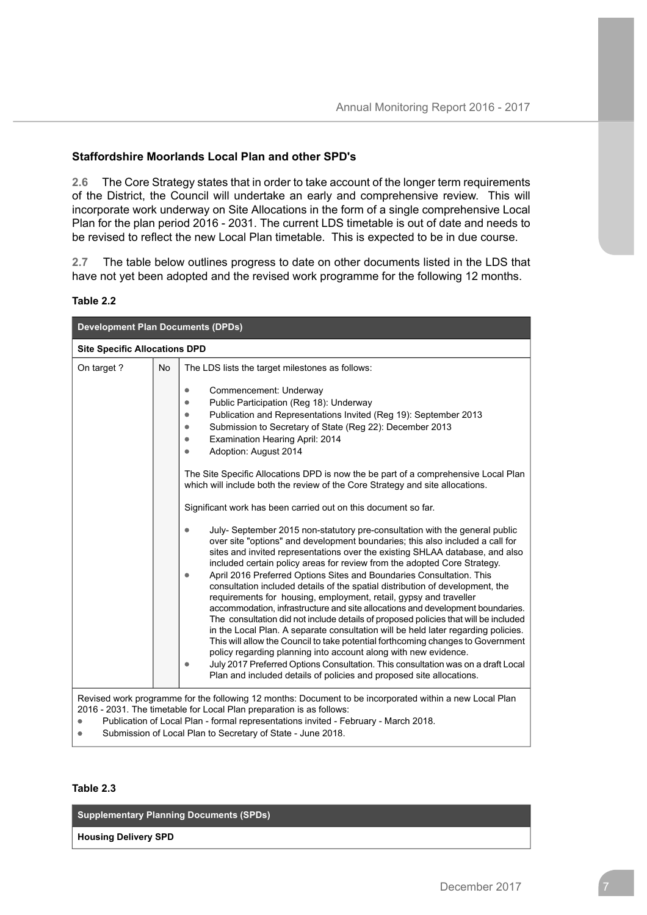## **Staffordshire Moorlands Local Plan and other SPD's**

**2.6** The Core Strategy states that in order to take account of the longer term requirements of the District, the Council will undertake an early and comprehensive review. This will incorporate work underway on Site Allocations in the form of a single comprehensive Local Plan for the plan period 2016 - 2031. The current LDS timetable is out of date and needs to be revised to reflect the new Local Plan timetable. This is expected to be in due course.

**2.7** The table below outlines progress to date on other documents listed in the LDS that have not yet been adopted and the revised work programme for the following 12 months.

#### **Table 2.2**

| <b>Development Plan Documents (DPDs)</b> |           |                                                                                                                                                                                                                                                                                                                                                                                                                                                                                                                                                                                                                                                                                                                                                                                                                                                                                                                                                                                                                                                                                                                                                                                                                                                                                                                                                                                                                                                                                                                                                                                                                                                                                                                        |  |  |
|------------------------------------------|-----------|------------------------------------------------------------------------------------------------------------------------------------------------------------------------------------------------------------------------------------------------------------------------------------------------------------------------------------------------------------------------------------------------------------------------------------------------------------------------------------------------------------------------------------------------------------------------------------------------------------------------------------------------------------------------------------------------------------------------------------------------------------------------------------------------------------------------------------------------------------------------------------------------------------------------------------------------------------------------------------------------------------------------------------------------------------------------------------------------------------------------------------------------------------------------------------------------------------------------------------------------------------------------------------------------------------------------------------------------------------------------------------------------------------------------------------------------------------------------------------------------------------------------------------------------------------------------------------------------------------------------------------------------------------------------------------------------------------------------|--|--|
| <b>Site Specific Allocations DPD</b>     |           |                                                                                                                                                                                                                                                                                                                                                                                                                                                                                                                                                                                                                                                                                                                                                                                                                                                                                                                                                                                                                                                                                                                                                                                                                                                                                                                                                                                                                                                                                                                                                                                                                                                                                                                        |  |  |
| On target?                               | <b>No</b> | The LDS lists the target milestones as follows:<br>Commencement: Underway<br>۰<br>Public Participation (Reg 18): Underway<br>Publication and Representations Invited (Reg 19): September 2013<br>۰<br>Submission to Secretary of State (Reg 22): December 2013<br>Examination Hearing April: 2014<br>Adoption: August 2014<br>۰<br>The Site Specific Allocations DPD is now the be part of a comprehensive Local Plan<br>which will include both the review of the Core Strategy and site allocations.<br>Significant work has been carried out on this document so far.<br>July-September 2015 non-statutory pre-consultation with the general public<br>over site "options" and development boundaries; this also included a call for<br>sites and invited representations over the existing SHLAA database, and also<br>included certain policy areas for review from the adopted Core Strategy.<br>April 2016 Preferred Options Sites and Boundaries Consultation. This<br>consultation included details of the spatial distribution of development, the<br>requirements for housing, employment, retail, gypsy and traveller<br>accommodation, infrastructure and site allocations and development boundaries.<br>The consultation did not include details of proposed policies that will be included<br>in the Local Plan. A separate consultation will be held later regarding policies.<br>This will allow the Council to take potential forthcoming changes to Government<br>policy regarding planning into account along with new evidence.<br>July 2017 Preferred Options Consultation. This consultation was on a draft Local<br>۰<br>Plan and included details of policies and proposed site allocations. |  |  |
|                                          |           | Revised work programme for the following 12 months: Document to be incorporated within a new Local Plan<br>2016 - 2031. The timetable for Local Plan preparation is as follows:                                                                                                                                                                                                                                                                                                                                                                                                                                                                                                                                                                                                                                                                                                                                                                                                                                                                                                                                                                                                                                                                                                                                                                                                                                                                                                                                                                                                                                                                                                                                        |  |  |

 $\bullet$ Publication of Local Plan - formal representations invited - February - March 2018.

Submission of Local Plan to Secretary of State - June 2018.  $\bullet$ 

#### **Table 2.3**

**Supplementary Planning Documents (SPDs)**

**Housing Delivery SPD**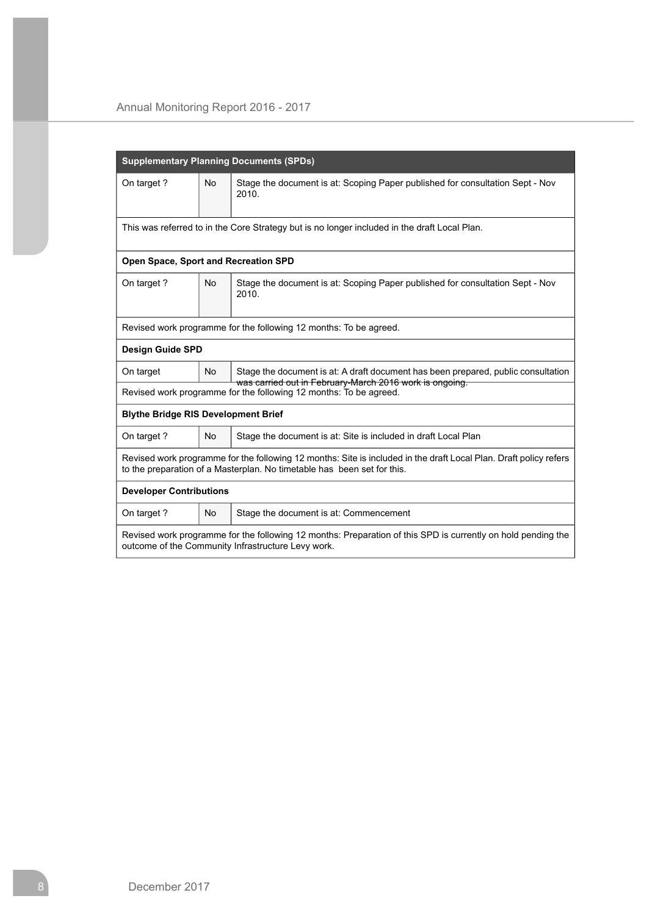|                                                                                                                                                                                              |                                                                                              | <b>Supplementary Planning Documents (SPDs)</b>                                                                                                                     |  |  |  |  |  |
|----------------------------------------------------------------------------------------------------------------------------------------------------------------------------------------------|----------------------------------------------------------------------------------------------|--------------------------------------------------------------------------------------------------------------------------------------------------------------------|--|--|--|--|--|
| On target?                                                                                                                                                                                   | <b>No</b>                                                                                    | Stage the document is at: Scoping Paper published for consultation Sept - Nov<br>2010.                                                                             |  |  |  |  |  |
|                                                                                                                                                                                              | This was referred to in the Core Strategy but is no longer included in the draft Local Plan. |                                                                                                                                                                    |  |  |  |  |  |
| Open Space, Sport and Recreation SPD                                                                                                                                                         |                                                                                              |                                                                                                                                                                    |  |  |  |  |  |
| On target?                                                                                                                                                                                   | <b>No</b>                                                                                    | Stage the document is at: Scoping Paper published for consultation Sept - Nov<br>2010.                                                                             |  |  |  |  |  |
|                                                                                                                                                                                              |                                                                                              | Revised work programme for the following 12 months: To be agreed.                                                                                                  |  |  |  |  |  |
| <b>Design Guide SPD</b>                                                                                                                                                                      |                                                                                              |                                                                                                                                                                    |  |  |  |  |  |
| On target                                                                                                                                                                                    | <b>No</b>                                                                                    | Stage the document is at: A draft document has been prepared, public consultation<br>was carried out in February-March 2016 work is ongoing.                       |  |  |  |  |  |
|                                                                                                                                                                                              |                                                                                              | Revised work programme for the following 12 months: To be agreed.                                                                                                  |  |  |  |  |  |
| <b>Blythe Bridge RIS Development Brief</b>                                                                                                                                                   |                                                                                              |                                                                                                                                                                    |  |  |  |  |  |
| On target?                                                                                                                                                                                   | <b>No</b>                                                                                    | Stage the document is at: Site is included in draft Local Plan                                                                                                     |  |  |  |  |  |
| Revised work programme for the following 12 months: Site is included in the draft Local Plan. Draft policy refers<br>to the preparation of a Masterplan. No timetable has been set for this. |                                                                                              |                                                                                                                                                                    |  |  |  |  |  |
| <b>Developer Contributions</b>                                                                                                                                                               |                                                                                              |                                                                                                                                                                    |  |  |  |  |  |
| On target?                                                                                                                                                                                   | <b>No</b>                                                                                    | Stage the document is at: Commencement                                                                                                                             |  |  |  |  |  |
|                                                                                                                                                                                              |                                                                                              | Revised work programme for the following 12 months: Preparation of this SPD is currently on hold pending the<br>outcome of the Community Infrastructure Levy work. |  |  |  |  |  |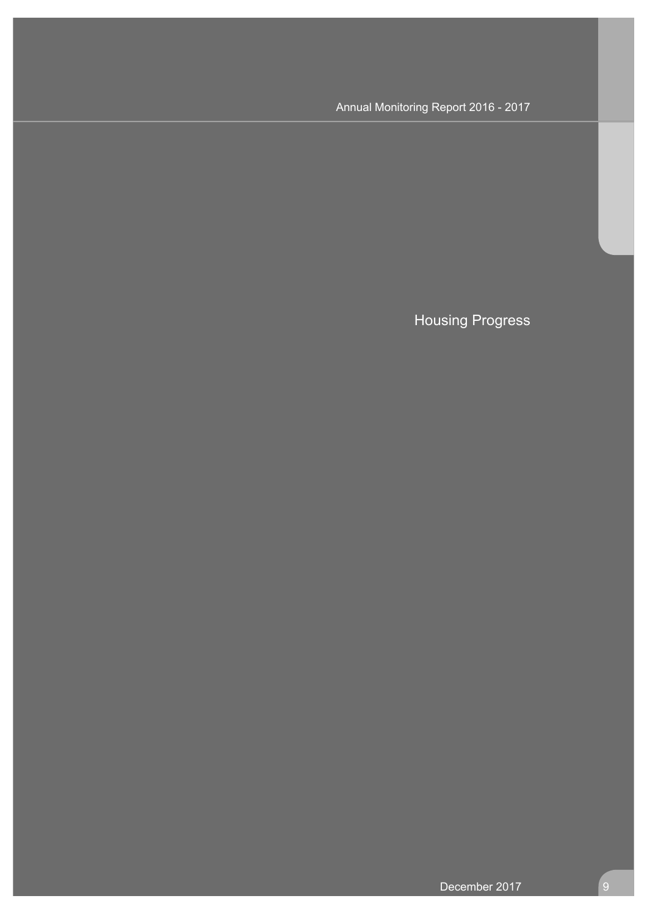Housing Progress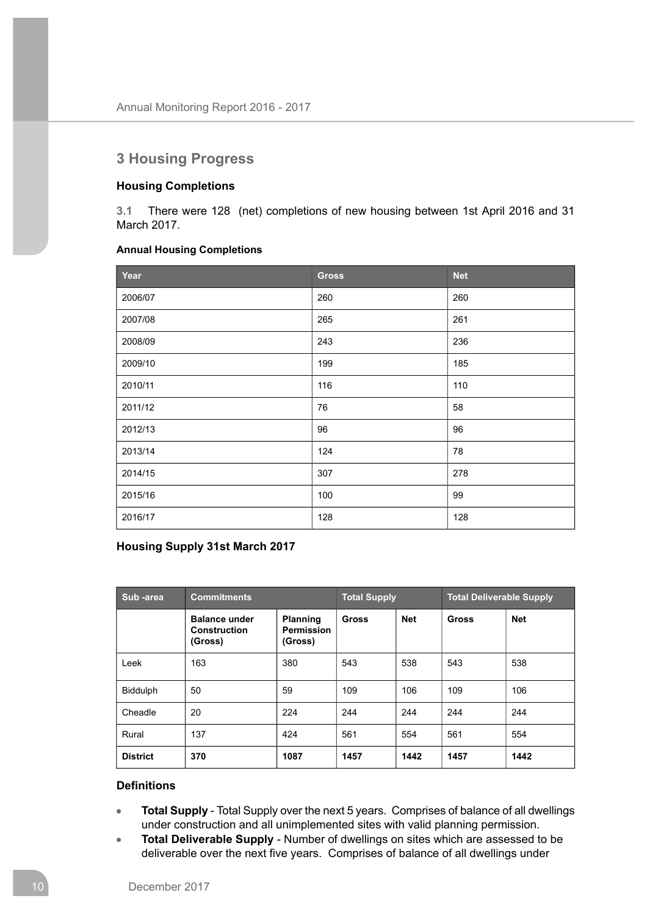# **3 Housing Progress**

## **Housing Completions**

**3.1** There were 128 (net) completions of new housing between 1st April 2016 and 31 March 2017.

## **Annual Housing Completions**

| Year    | <b>Gross</b> | <b>Net</b> |
|---------|--------------|------------|
| 2006/07 | 260          | 260        |
| 2007/08 | 265          | 261        |
| 2008/09 | 243          | 236        |
| 2009/10 | 199          | 185        |
| 2010/11 | 116          | 110        |
| 2011/12 | 76           | 58         |
| 2012/13 | 96           | 96         |
| 2013/14 | 124          | 78         |
| 2014/15 | 307          | 278        |
| 2015/16 | 100          | 99         |
| 2016/17 | 128          | 128        |

## **Housing Supply 31st March 2017**

| Sub-area        | <b>Commitments</b>                              |                                                 | <b>Total Supply</b> |            | <b>Total Deliverable Supply</b> |            |
|-----------------|-------------------------------------------------|-------------------------------------------------|---------------------|------------|---------------------------------|------------|
|                 | <b>Balance under</b><br>Construction<br>(Gross) | <b>Planning</b><br><b>Permission</b><br>(Gross) | <b>Gross</b>        | <b>Net</b> | <b>Gross</b>                    | <b>Net</b> |
| Leek            | 163                                             | 380                                             | 543                 | 538        | 543                             | 538        |
| <b>Biddulph</b> | 50                                              | 59                                              | 109                 | 106        | 109                             | 106        |
| Cheadle         | 20                                              | 224                                             | 244                 | 244        | 244                             | 244        |
| Rural           | 137                                             | 424                                             | 561                 | 554        | 561                             | 554        |
| <b>District</b> | 370                                             | 1087                                            | 1457                | 1442       | 1457                            | 1442       |

## **Definitions**

- **Total Supply** Total Supply over the next 5 years. Comprises of balance of all dwellings  $\bullet$ under construction and all unimplemented sites with valid planning permission.
- **Total Deliverable Supply** Number of dwellings on sites which are assessed to be  $\bullet$ deliverable over the next five years. Comprises of balance of all dwellings under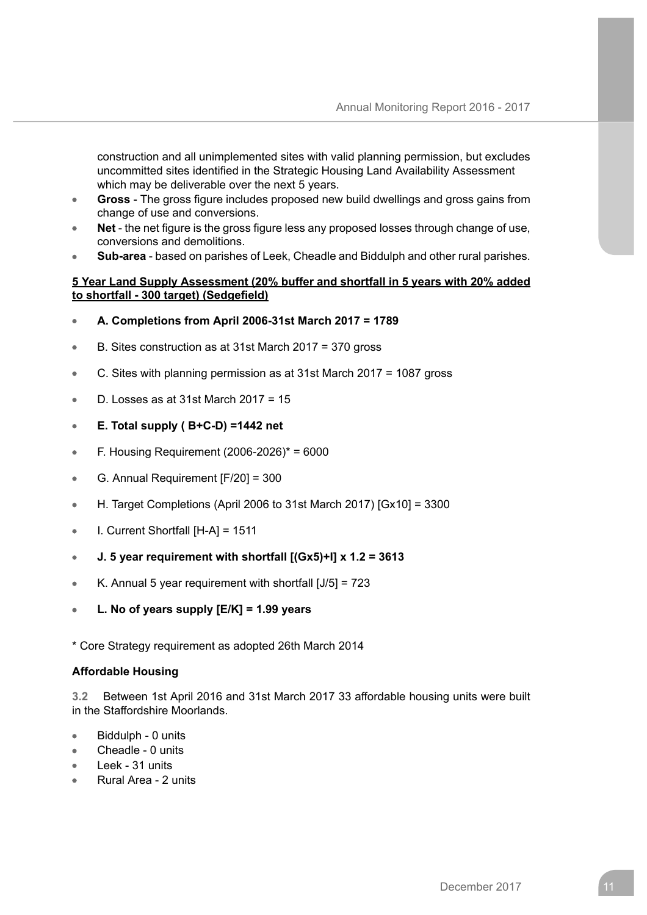construction and all unimplemented sites with valid planning permission, but excludes uncommitted sites identified in the Strategic Housing Land Availability Assessment which may be deliverable over the next 5 years.

- **Gross** The gross figure includes proposed new build dwellings and gross gains from change of use and conversions.
- **Net** the net figure is the gross figure less any proposed losses through change of use, conversions and demolitions.
- **Sub-area** based on parishes of Leek, Cheadle and Biddulph and other rural parishes.

### **5 Year Land Supply Assessment (20% buffer and shortfall in 5 years with 20% added to shortfall - 300 target) (Sedgefield)**

- **A. Completions from April 2006-31st March 2017 = 1789**
- B. Sites construction as at 31st March 2017 = 370 gross
- C. Sites with planning permission as at 31st March 2017 = 1087 gross
- D. Losses as at 31st March 2017 = 15
- **E. Total supply ( B+C-D) =1442 net**
- F. Housing Requirement (2006-2026)\* = 6000
- G. Annual Requirement [F/20] = 300
- H. Target Completions (April 2006 to 31st March 2017) [Gx10] = 3300
- I. Current Shortfall [H-A] = 1511
- **J. 5 year requirement with shortfall [(Gx5)+I] x 1.2 = 3613**  $\blacksquare$
- K. Annual 5 year requirement with shortfall [J/5] = 723
- **L. No of years supply [E/K] = 1.99 years**

\* Core Strategy requirement as adopted 26th March 2014

## **Affordable Housing**

**3.2** Between 1st April 2016 and 31st March 2017 33 affordable housing units were built in the Staffordshire Moorlands.

- Biddulph 0 units
- Cheadle 0 units
- Leek 31 units
- Rural Area 2 units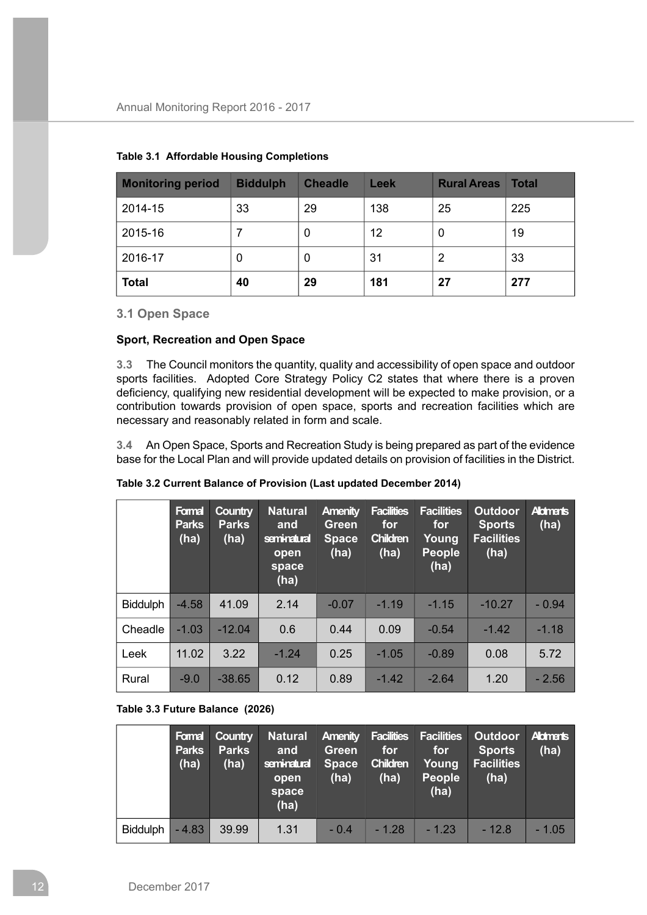| <b>Monitoring period</b> | <b>Biddulph</b> | <b>Cheadle</b> | Leek | <b>Rural Areas</b> | <b>Total</b> |
|--------------------------|-----------------|----------------|------|--------------------|--------------|
| 2014-15                  | 33              | 29             | 138  | 25                 | 225          |
| 2015-16                  |                 | U              | 12   | 0                  | 19           |
| 2016-17                  | 0               | 0              | 31   | 2                  | 33           |
| <b>Total</b>             | 40              | 29             | 181  | 27                 | 277          |

## **Table 3.1 Affordable Housing Completions**

**3.1 Open Space**

### **Sport, Recreation and Open Space**

**3.3** The Council monitors the quantity, quality and accessibility of open space and outdoor sports facilities. Adopted Core Strategy Policy C2 states that where there is a proven deficiency, qualifying new residential development will be expected to make provision, or a contribution towards provision of open space, sports and recreation facilities which are necessary and reasonably related in form and scale.

**3.4** An Open Space, Sports and Recreation Study is being prepared as part of the evidence base for the Local Plan and will provide updated details on provision of facilities in the District.

|                 | Formal<br><b>Parks</b><br>(ha) | <b>Country</b><br><b>Parks</b><br>(ha) | <b>Natural</b><br>and<br>seminatural<br>open<br>space<br>(ha) | <b>Amenity</b><br>Green<br><b>Space</b><br>(ha) | <b>Facilities</b><br>for<br><b>Children</b><br>(ha) | <b>Facilities</b><br>for<br>Young<br><b>People</b><br>(ha) | <b>Outdoor</b><br><b>Sports</b><br><b>Facilities</b><br>(ha) | <b>Aldments</b><br>(ha) |
|-----------------|--------------------------------|----------------------------------------|---------------------------------------------------------------|-------------------------------------------------|-----------------------------------------------------|------------------------------------------------------------|--------------------------------------------------------------|-------------------------|
| <b>Biddulph</b> | $-4.58$                        | 41.09                                  | 2.14                                                          | $-0.07$                                         | $-1.19$                                             | $-1.15$                                                    | $-10.27$                                                     | $-0.94$                 |
| Cheadle         | $-1.03$                        | $-12.04$                               | 0.6                                                           | 0.44                                            | 0.09                                                | $-0.54$                                                    | $-1.42$                                                      | $-1.18$                 |
| Leek            | 11.02                          | 3.22                                   | $-1.24$                                                       | 0.25                                            | $-1.05$                                             | $-0.89$                                                    | 0.08                                                         | 5.72                    |
| Rural           | $-9.0$                         | $-38.65$                               | 0.12                                                          | 0.89                                            | $-1.42$                                             | $-2.64$                                                    | 1.20                                                         | $-2.56$                 |

#### **Table 3.2 Current Balance of Provision (Last updated December 2014)**

#### **Table 3.3 Future Balance (2026)**

|                 | Formal<br><b>Parks</b><br>(ha) | <b>Country</b><br><b>Parks</b><br>(ha) | <b>Natural Amenity Facilities</b><br>and<br>seminatural<br>open<br>space<br>(ha) | Green<br><b>Space</b><br>(ha) | for<br><b>Children</b><br>(ha) | <b>Facilities</b><br>for<br>Young<br>People<br>(ha) | Outdoor Aldmarts<br><b>Sports</b><br><b>Facilities</b><br>(ha) | (ha)    |
|-----------------|--------------------------------|----------------------------------------|----------------------------------------------------------------------------------|-------------------------------|--------------------------------|-----------------------------------------------------|----------------------------------------------------------------|---------|
| <b>Biddulph</b> | $-4.83$                        | 39.99                                  | 1.31                                                                             | $-0.4$                        | $-1.28$                        | $-1.23$                                             | $-12.8$                                                        | $-1.05$ |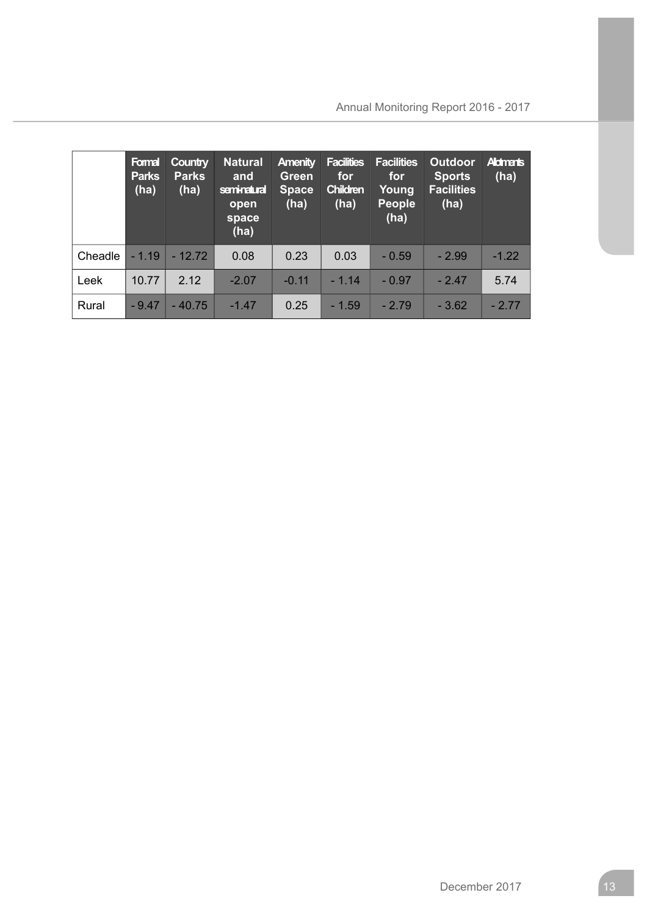|         | Formal<br><b>Parks</b><br>(ha) | <b>Country</b><br><b>Parks</b><br>(ha) | <b>Natural</b><br>and<br>seminatural<br>open<br>space<br>(ha) | <b>Amenity</b><br>Green<br><b>Space</b><br>(ha) | <b>Facilities</b><br>for<br><b>Children</b><br>(ha) | <b>Facilities</b><br>for<br>Young<br><b>People</b><br>(ha) | <b>Outdoor</b><br><b>Sports</b><br><b>Facilities</b><br>(ha) | <b>Aldments</b><br>(ha) |
|---------|--------------------------------|----------------------------------------|---------------------------------------------------------------|-------------------------------------------------|-----------------------------------------------------|------------------------------------------------------------|--------------------------------------------------------------|-------------------------|
| Cheadle | $-1.19$                        | $-12.72$                               | 0.08                                                          | 0.23                                            | 0.03                                                | $-0.59$                                                    | $-2.99$                                                      | $-1.22$                 |
| Leek    | 10.77                          | 2.12                                   | $-2.07$                                                       | $-0.11$                                         | $-1.14$                                             | $-0.97$                                                    | $-2.47$                                                      | 5.74                    |
| Rural   | $-9.47$                        | $-40.75$                               | $-1.47$                                                       | 0.25                                            | $-1.59$                                             | $-2.79$                                                    | $-3.62$                                                      | $-2.77$                 |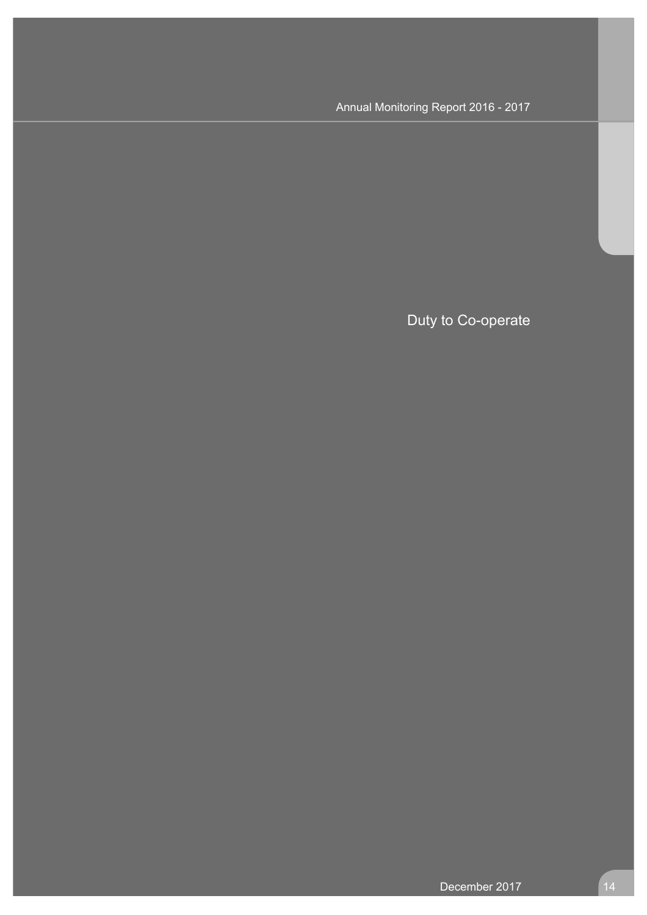Duty to Co-operate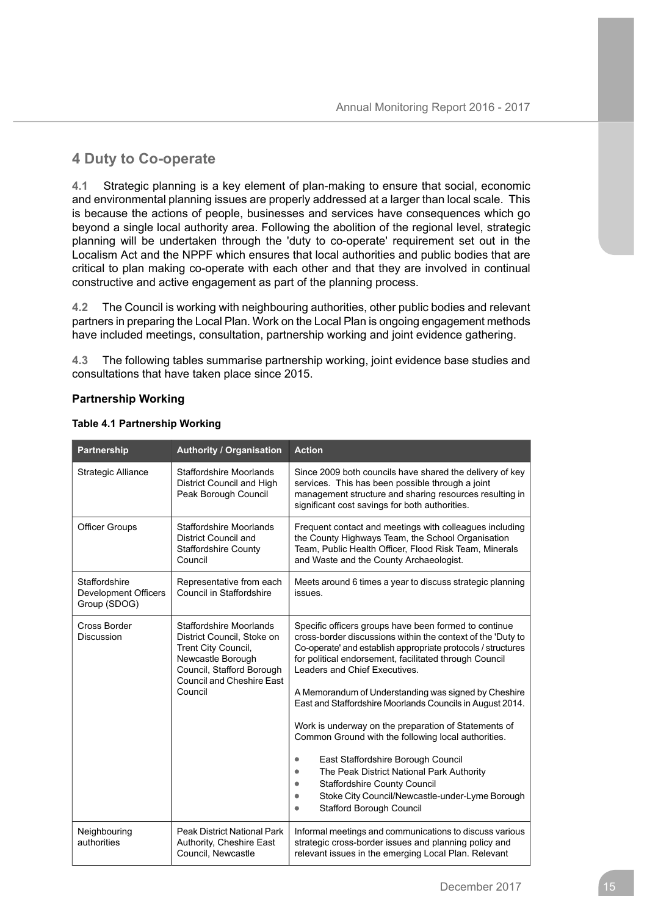# **4 Duty to Co-operate**

**4.1** Strategic planning is a key element of plan-making to ensure that social, economic and environmental planning issues are properly addressed at a larger than local scale. This is because the actions of people, businesses and services have consequences which go beyond a single local authority area. Following the abolition of the regional level, strategic planning will be undertaken through the 'duty to co-operate' requirement set out in the Localism Act and the NPPF which ensures that local authorities and public bodies that are critical to plan making co-operate with each other and that they are involved in continual constructive and active engagement as part of the planning process.

**4.2** The Council is working with neighbouring authorities, other public bodies and relevant partners in preparing the Local Plan. Work on the Local Plan is ongoing engagement methods have included meetings, consultation, partnership working and joint evidence gathering.

**4.3** The following tables summarise partnership working, joint evidence base studies and consultations that have taken place since 2015.

## **Partnership Working**

| Partnership                                           | <b>Authority / Organisation</b>                                                                                                                                                      | <b>Action</b>                                                                                                                                                                                                                                                                                                                                                                                                                                                                                                                                                                                                                                                                                                                                      |
|-------------------------------------------------------|--------------------------------------------------------------------------------------------------------------------------------------------------------------------------------------|----------------------------------------------------------------------------------------------------------------------------------------------------------------------------------------------------------------------------------------------------------------------------------------------------------------------------------------------------------------------------------------------------------------------------------------------------------------------------------------------------------------------------------------------------------------------------------------------------------------------------------------------------------------------------------------------------------------------------------------------------|
| <b>Strategic Alliance</b>                             | <b>Staffordshire Moorlands</b><br>District Council and High<br>Peak Borough Council                                                                                                  | Since 2009 both councils have shared the delivery of key<br>services. This has been possible through a joint<br>management structure and sharing resources resulting in<br>significant cost savings for both authorities.                                                                                                                                                                                                                                                                                                                                                                                                                                                                                                                          |
| <b>Officer Groups</b>                                 | <b>Staffordshire Moorlands</b><br><b>District Council and</b><br><b>Staffordshire County</b><br>Council                                                                              | Frequent contact and meetings with colleagues including<br>the County Highways Team, the School Organisation<br>Team, Public Health Officer, Flood Risk Team, Minerals<br>and Waste and the County Archaeologist.                                                                                                                                                                                                                                                                                                                                                                                                                                                                                                                                  |
| Staffordshire<br>Development Officers<br>Group (SDOG) | Representative from each<br><b>Council in Staffordshire</b>                                                                                                                          | Meets around 6 times a year to discuss strategic planning<br>issues.                                                                                                                                                                                                                                                                                                                                                                                                                                                                                                                                                                                                                                                                               |
| <b>Cross Border</b><br><b>Discussion</b>              | <b>Staffordshire Moorlands</b><br>District Council, Stoke on<br>Trent City Council,<br>Newcastle Borough<br>Council, Stafford Borough<br><b>Council and Cheshire East</b><br>Council | Specific officers groups have been formed to continue<br>cross-border discussions within the context of the 'Duty to<br>Co-operate' and establish appropriate protocols / structures<br>for political endorsement, facilitated through Council<br>Leaders and Chief Executives.<br>A Memorandum of Understanding was signed by Cheshire<br>East and Staffordshire Moorlands Councils in August 2014.<br>Work is underway on the preparation of Statements of<br>Common Ground with the following local authorities.<br>East Staffordshire Borough Council<br>٠<br>The Peak District National Park Authority<br><b>Staffordshire County Council</b><br>Stoke City Council/Newcastle-under-Lyme Borough<br>٠<br><b>Stafford Borough Council</b><br>٠ |
| Neighbouring<br>authorities                           | <b>Peak District National Park</b><br>Authority, Cheshire East<br>Council, Newcastle                                                                                                 | Informal meetings and communications to discuss various<br>strategic cross-border issues and planning policy and<br>relevant issues in the emerging Local Plan. Relevant                                                                                                                                                                                                                                                                                                                                                                                                                                                                                                                                                                           |

#### **Table 4.1 Partnership Working**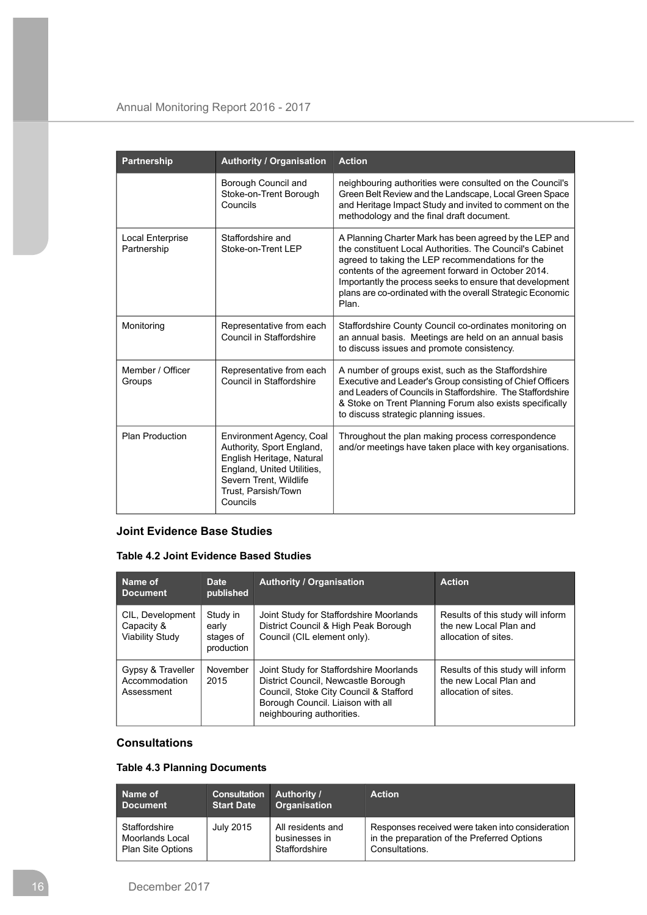| Partnership                            | <b>Authority / Organisation</b>                                                                                                                                               | <b>Action</b>                                                                                                                                                                                                                                                                                                                                                   |
|----------------------------------------|-------------------------------------------------------------------------------------------------------------------------------------------------------------------------------|-----------------------------------------------------------------------------------------------------------------------------------------------------------------------------------------------------------------------------------------------------------------------------------------------------------------------------------------------------------------|
|                                        | Borough Council and<br>Stoke-on-Trent Borough<br>Councils                                                                                                                     | neighbouring authorities were consulted on the Council's<br>Green Belt Review and the Landscape, Local Green Space<br>and Heritage Impact Study and invited to comment on the<br>methodology and the final draft document.                                                                                                                                      |
| <b>Local Enterprise</b><br>Partnership | Staffordshire and<br>Stoke-on-Trent LEP                                                                                                                                       | A Planning Charter Mark has been agreed by the LEP and<br>the constituent Local Authorities. The Council's Cabinet<br>agreed to taking the LEP recommendations for the<br>contents of the agreement forward in October 2014.<br>Importantly the process seeks to ensure that development<br>plans are co-ordinated with the overall Strategic Economic<br>Plan. |
| Monitoring                             | Representative from each<br>Council in Staffordshire                                                                                                                          | Staffordshire County Council co-ordinates monitoring on<br>an annual basis. Meetings are held on an annual basis<br>to discuss issues and promote consistency.                                                                                                                                                                                                  |
| Member / Officer<br>Groups             | Representative from each<br>Council in Staffordshire                                                                                                                          | A number of groups exist, such as the Staffordshire<br>Executive and Leader's Group consisting of Chief Officers<br>and Leaders of Councils in Staffordshire. The Staffordshire<br>& Stoke on Trent Planning Forum also exists specifically<br>to discuss strategic planning issues.                                                                            |
| <b>Plan Production</b>                 | Environment Agency, Coal<br>Authority, Sport England,<br>English Heritage, Natural<br>England, United Utilities,<br>Severn Trent, Wildlife<br>Trust, Parsish/Town<br>Councils | Throughout the plan making process correspondence<br>and/or meetings have taken place with key organisations.                                                                                                                                                                                                                                                   |

## **Joint Evidence Base Studies**

## **Table 4.2 Joint Evidence Based Studies**

| Name of<br><b>Document</b>                               | Date<br>published                            | <b>Authority / Organisation</b>                                                                                                                                                            | <b>Action</b>                                                                       |
|----------------------------------------------------------|----------------------------------------------|--------------------------------------------------------------------------------------------------------------------------------------------------------------------------------------------|-------------------------------------------------------------------------------------|
| CIL, Development<br>Capacity &<br><b>Viability Study</b> | Study in<br>early<br>stages of<br>production | Joint Study for Staffordshire Moorlands<br>District Council & High Peak Borough<br>Council (CIL element only).                                                                             | Results of this study will inform<br>the new Local Plan and<br>allocation of sites. |
| Gypsy & Traveller<br>Accommodation<br>Assessment         | November<br>2015                             | Joint Study for Staffordshire Moorlands<br>District Council, Newcastle Borough<br>Council, Stoke City Council & Stafford<br>Borough Council. Liaison with all<br>neighbouring authorities. | Results of this study will inform<br>the new Local Plan and<br>allocation of sites. |

## **Consultations**

## **Table 4.3 Planning Documents**

| Name of<br><b>Document</b> | <b>Consultation Authority /</b><br><b>Start Date</b> | <b>Organisation</b> | <b>Action</b>                                    |
|----------------------------|------------------------------------------------------|---------------------|--------------------------------------------------|
| Staffordshire              | July 2015                                            | All residents and   | Responses received were taken into consideration |
| Moorlands Local            |                                                      | businesses in       | in the preparation of the Preferred Options      |
| <b>Plan Site Options</b>   |                                                      | Staffordshire       | Consultations.                                   |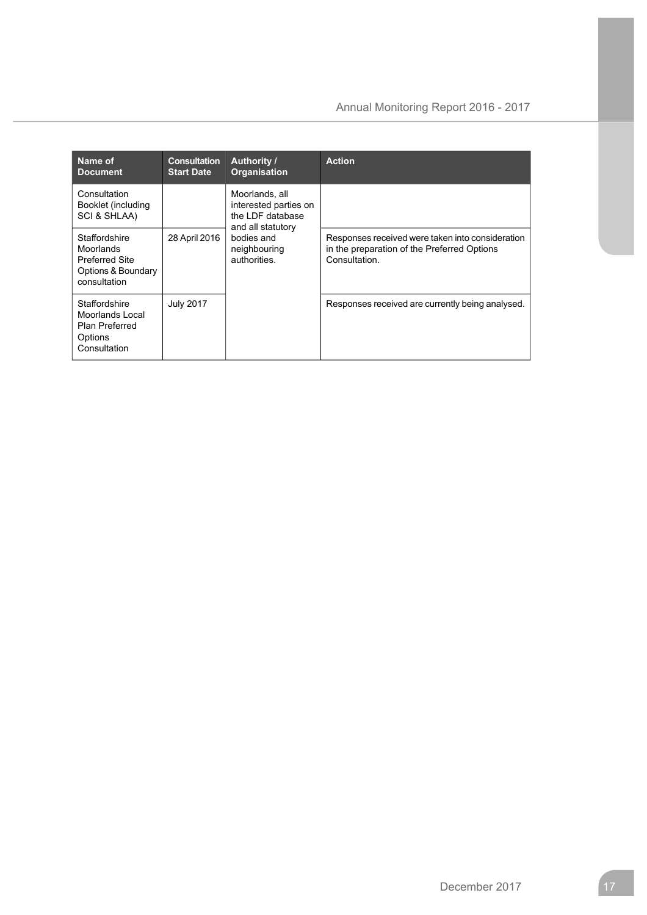| Name of<br><b>Document</b>                                                                | <b>Consultation</b><br><b>Start Date</b> | <b>Authority /</b><br><b>Organisation</b>                                        | <b>Action</b>                                                                                                    |
|-------------------------------------------------------------------------------------------|------------------------------------------|----------------------------------------------------------------------------------|------------------------------------------------------------------------------------------------------------------|
| Consultation<br>Booklet (including<br><b>SCI &amp; SHLAA)</b>                             |                                          | Moorlands, all<br>interested parties on<br>the LDF database<br>and all statutory |                                                                                                                  |
| Staffordshire<br>Moorlands<br><b>Preferred Site</b><br>Options & Boundary<br>consultation | 28 April 2016                            | bodies and<br>neighbouring<br>authorities.                                       | Responses received were taken into consideration<br>in the preparation of the Preferred Options<br>Consultation. |
| Staffordshire<br>Moorlands Local<br><b>Plan Preferred</b><br>Options<br>Consultation      | <b>July 2017</b>                         |                                                                                  | Responses received are currently being analysed.                                                                 |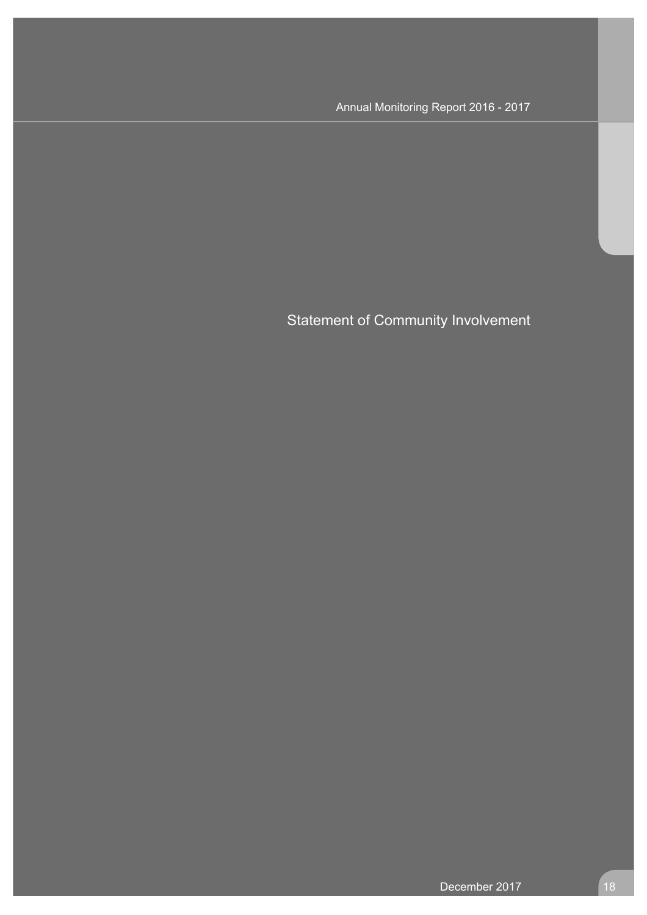Statement of Community Involvement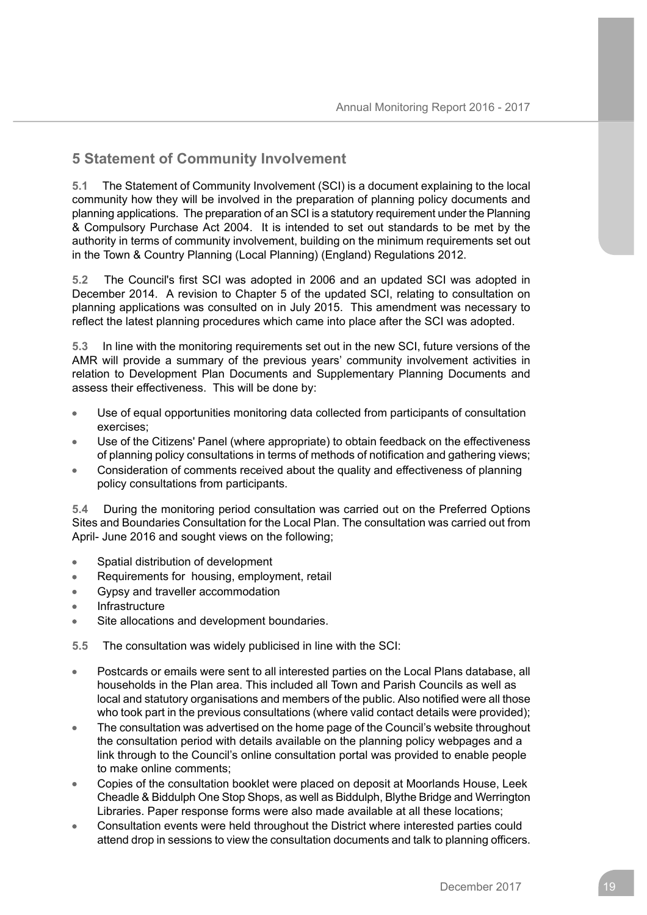## **5 Statement of Community Involvement**

**5.1** The Statement of Community Involvement (SCI) is a document explaining to the local community how they will be involved in the preparation of planning policy documents and planning applications. The preparation of an SCI is a statutory requirement under the Planning & Compulsory Purchase Act 2004. It is intended to set out standards to be met by the authority in terms of community involvement, building on the minimum requirements set out in the Town & Country Planning (Local Planning) (England) Regulations 2012.

**5.2** The Council's first SCI was adopted in 2006 and an updated SCI was adopted in December 2014. A revision to Chapter 5 of the updated SCI, relating to consultation on planning applications was consulted on in July 2015. This amendment was necessary to reflect the latest planning procedures which came into place after the SCI was adopted.

**5.3** In line with the monitoring requirements set out in the new SCI, future versions of the AMR will provide a summary of the previous years' community involvement activities in relation to Development Plan Documents and Supplementary Planning Documents and assess their effectiveness. This will be done by:

- Use of equal opportunities monitoring data collected from participants of consultation exercises;
- Use of the Citizens' Panel (where appropriate) to obtain feedback on the effectiveness of planning policy consultations in terms of methods of notification and gathering views;
- Consideration of comments received about the quality and effectiveness of planning policy consultations from participants.

**5.4** During the monitoring period consultation was carried out on the Preferred Options Sites and Boundaries Consultation for the Local Plan. The consultation was carried out from April- June 2016 and sought views on the following;

- Spatial distribution of development  $\bullet$
- Requirements for housing, employment, retail
- Gypsy and traveller accommodation
- **Infrastructure**
- Site allocations and development boundaries.

**5.5** The consultation was widely publicised in line with the SCI:

- Postcards or emails were sent to all interested parties on the Local Plans database, all households in the Plan area. This included all Town and Parish Councils as well as local and statutory organisations and members of the public. Also notified were all those who took part in the previous consultations (where valid contact details were provided);
- The consultation was advertised on the home page of the Council's website throughout the consultation period with details available on the planning policy webpages and a link through to the Council's online consultation portal was provided to enable people to make online comments;
- Copies of the consultation booklet were placed on deposit at Moorlands House, Leek Cheadle & Biddulph One Stop Shops, as well as Biddulph, Blythe Bridge and Werrington Libraries. Paper response forms were also made available at all these locations;
- Consultation events were held throughout the District where interested parties could attend drop in sessions to view the consultation documents and talk to planning officers.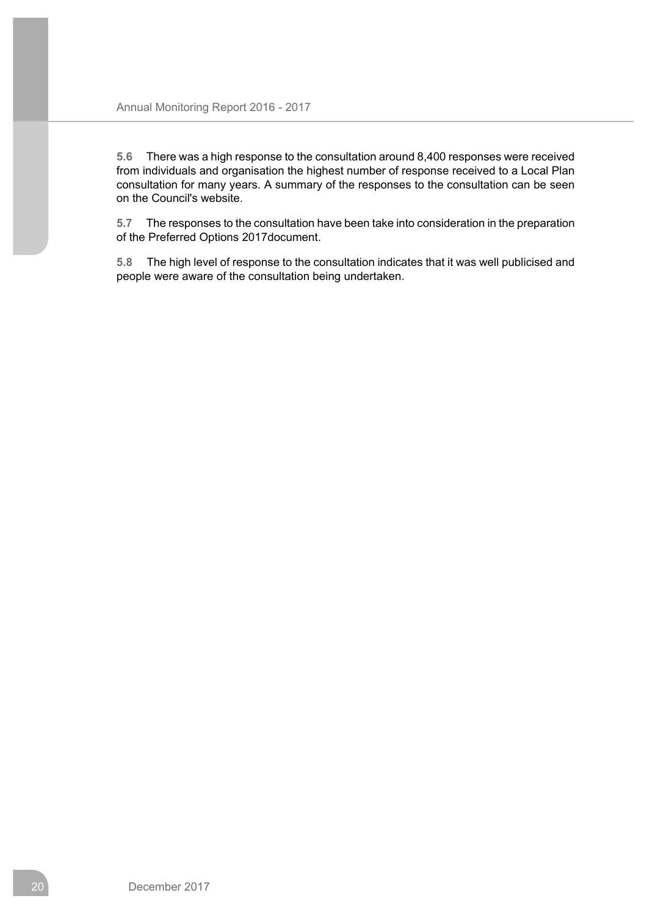**5.6** There was a high response to the consultation around 8,400 responses were received from individuals and organisation the highest number of response received to a Local Plan consultation for many years. A summary of the responses to the consultation can be seen on the Council's website.

**5.7** The responses to the consultation have been take into consideration in the preparation of the Preferred Options 2017document.

**5.8** The high level of response to the consultation indicates that it was well publicised and people were aware of the consultation being undertaken.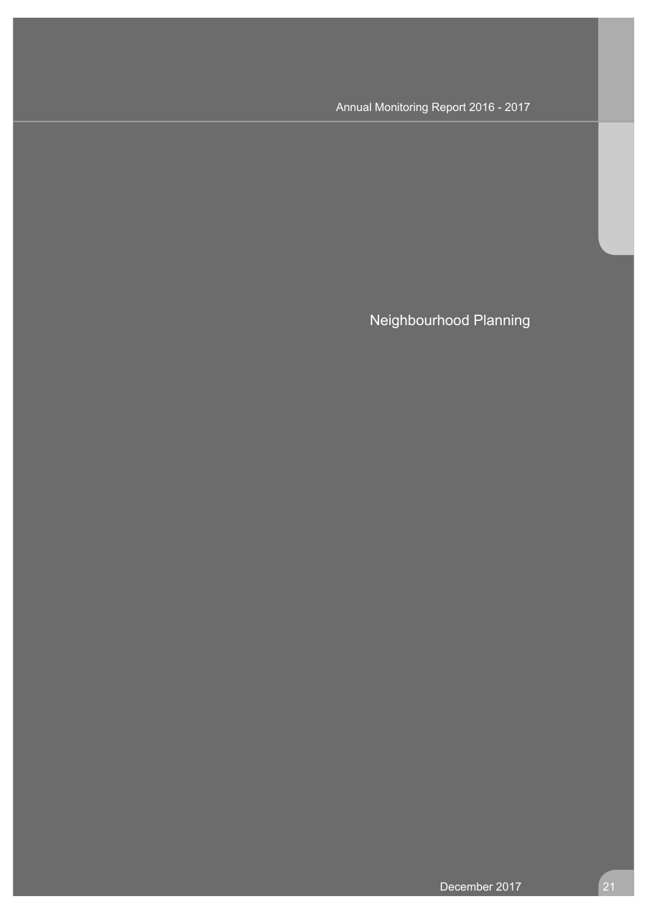Neighbourhood Planning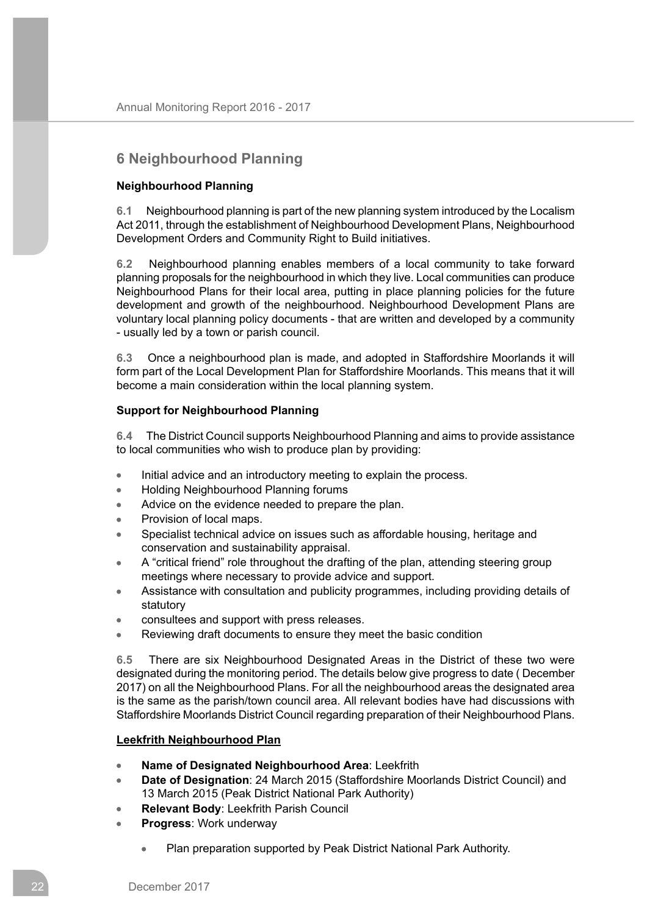# **6 Neighbourhood Planning**

## **Neighbourhood Planning**

**6.1** Neighbourhood planning is part of the new planning system introduced by the Localism Act 2011, through the establishment of Neighbourhood Development Plans, Neighbourhood Development Orders and Community Right to Build initiatives.

**6.2** Neighbourhood planning enables members of a local community to take forward planning proposals for the neighbourhood in which they live. Local communities can produce Neighbourhood Plans for their local area, putting in place planning policies for the future development and growth of the neighbourhood. Neighbourhood Development Plans are voluntary local planning policy documents - that are written and developed by a community - usually led by a town or parish council.

**6.3** Once a neighbourhood plan is made, and adopted in Staffordshire Moorlands it will form part of the Local Development Plan for Staffordshire Moorlands. This means that it will become a main consideration within the local planning system.

## **Support for Neighbourhood Planning**

**6.4** The District Council supports Neighbourhood Planning and aims to provide assistance to local communities who wish to produce plan by providing:

- Initial advice and an introductory meeting to explain the process.  $\blacksquare$
- Holding Neighbourhood Planning forums  $\bullet$
- Advice on the evidence needed to prepare the plan.  $\bullet$
- $\bullet$ Provision of local maps.
- Specialist technical advice on issues such as affordable housing, heritage and conservation and sustainability appraisal.
- A "critical friend" role throughout the drafting of the plan, attending steering group  $\bullet$ meetings where necessary to provide advice and support.
- Assistance with consultation and publicity programmes, including providing details of  $\bullet$ statutory
- consultees and support with press releases.
- Reviewing draft documents to ensure they meet the basic condition

**6.5** There are six Neighbourhood Designated Areas in the District of these two were designated during the monitoring period. The details below give progress to date ( December 2017) on all the Neighbourhood Plans. For all the neighbourhood areas the designated area is the same as the parish/town council area. All relevant bodies have had discussions with Staffordshire Moorlands District Council regarding preparation of their Neighbourhood Plans.

## **Leekfrith Neighbourhood Plan**

- **Name of Designated Neighbourhood Area**: Leekfrith  $\bullet$
- **Date of Designation**: 24 March 2015 (Staffordshire Moorlands District Council) and 13 March 2015 (Peak District National Park Authority)
- **Relevant Body**: Leekfrith Parish Council  $\bullet$
- **Progress**: Work underway
	- Plan preparation supported by Peak District National Park Authority.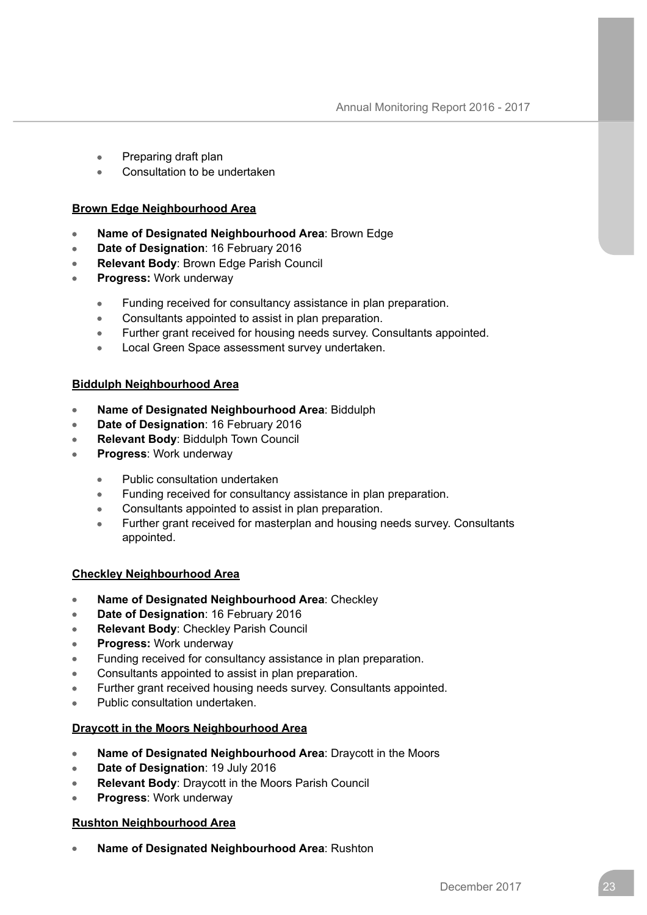- Preparing draft plan  $\bullet$
- $\blacksquare$ Consultation to be undertaken

## **Brown Edge Neighbourhood Area**

- **Name of Designated Neighbourhood Area**: Brown Edge  $\bullet$
- **Date of Designation**: 16 February 2016  $\Delta$
- **Relevant Body**: Brown Edge Parish Council  $\bullet$
- **Progress:** Work underway
	- Funding received for consultancy assistance in plan preparation.  $\bullet$
	- Consultants appointed to assist in plan preparation.  $\bullet$
	- Further grant received for housing needs survey. Consultants appointed.  $\bullet$
	- Local Green Space assessment survey undertaken.  $\bullet$

## **Biddulph Neighbourhood Area**

- **Name of Designated Neighbourhood Area**: Biddulph  $\blacksquare$
- **Date of Designation**: 16 February 2016
- **Relevant Body**: Biddulph Town Council
- **Progress**: Work underway
	- Public consultation undertaken  $\bullet$
	- Funding received for consultancy assistance in plan preparation.  $\bullet$
	- Consultants appointed to assist in plan preparation.  $\bullet$
	- Further grant received for masterplan and housing needs survey. Consultants  $\bullet$ appointed.

## **Checkley Neighbourhood Area**

- **Name of Designated Neighbourhood Area**: Checkley  $\bullet$
- **Date of Designation**: 16 February 2016  $\bullet$
- **Relevant Body**: Checkley Parish Council  $\bullet$
- **Progress:** Work underway
- Funding received for consultancy assistance in plan preparation.
- Consultants appointed to assist in plan preparation.
- Further grant received housing needs survey. Consultants appointed.
- Public consultation undertaken.

## **Draycott in the Moors Neighbourhood Area**

- **Name of Designated Neighbourhood Area**: Draycott in the Moors
- **Date of Designation**: 19 July 2016
- **Relevant Body**: Draycott in the Moors Parish Council
- **Progress**: Work underway

## **Rushton Neighbourhood Area**

**Name of Designated Neighbourhood Area**: Rushton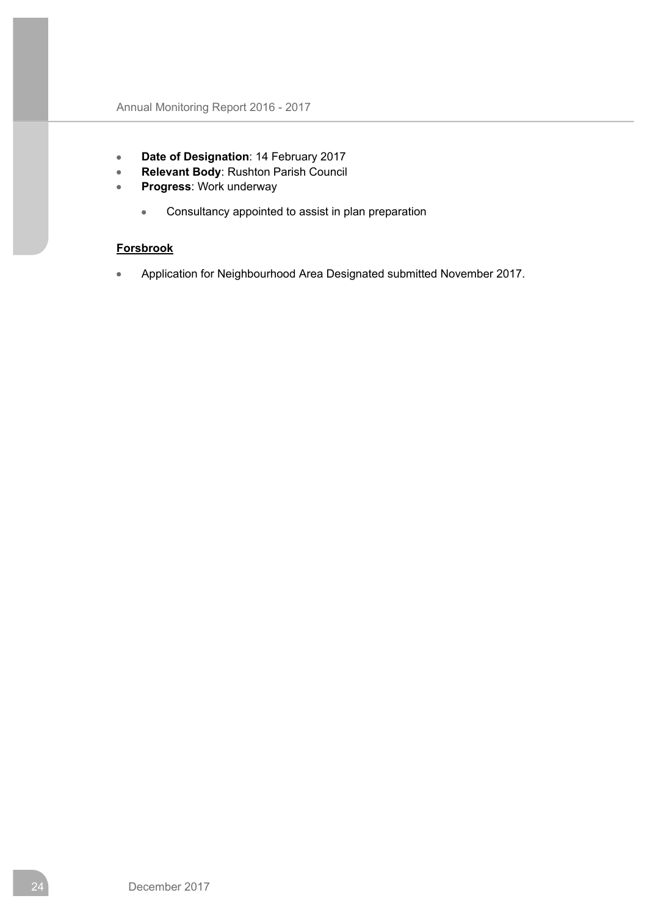- **Date of Designation**: 14 February 2017  $\bullet$
- $\bullet$ **Relevant Body**: Rushton Parish Council
- **Progress**: Work underway  $\bullet$ 
	- $\bullet$ Consultancy appointed to assist in plan preparation

## **Forsbrook**

Application for Neighbourhood Area Designated submitted November 2017. Ä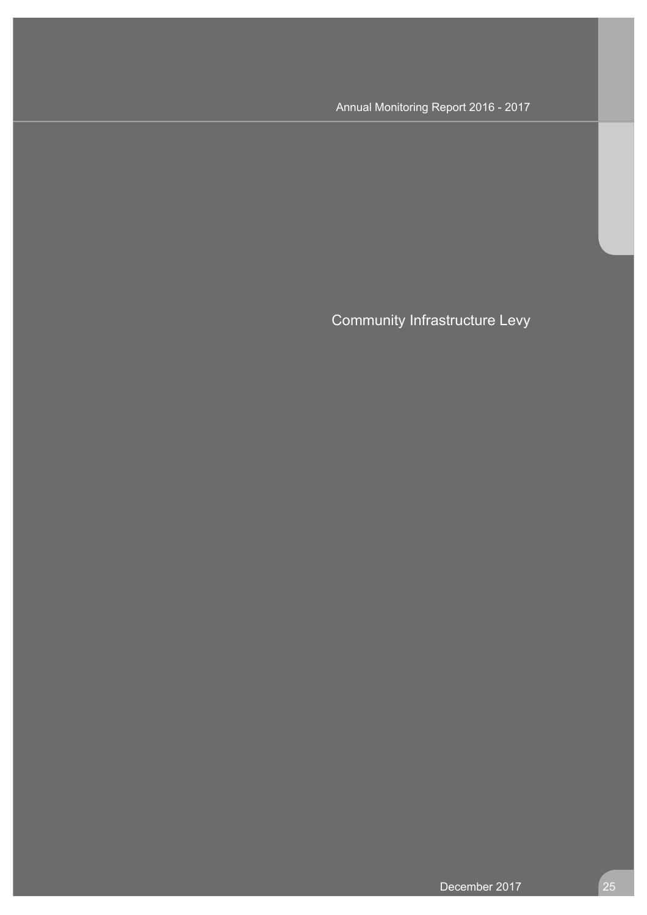Community Infrastructure Levy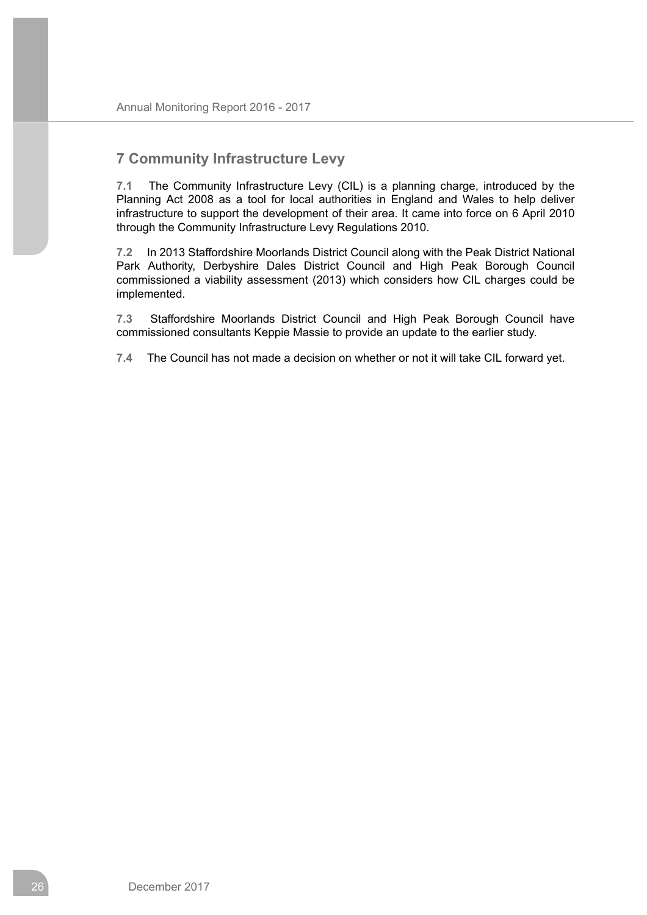## **7 Community Infrastructure Levy**

**7.1** The Community Infrastructure Levy (CIL) is a planning charge, introduced by the Planning Act 2008 as a tool for local authorities in England and Wales to help deliver infrastructure to support the development of their area. It came into force on 6 April 2010 through the Community Infrastructure Levy Regulations 2010.

**7.2** In 2013 Staffordshire Moorlands District Council along with the Peak District National Park Authority, Derbyshire Dales District Council and High Peak Borough Council commissioned a viability assessment (2013) which considers how CIL charges could be implemented.

**7.3** Staffordshire Moorlands District Council and High Peak Borough Council have commissioned consultants Keppie Massie to provide an update to the earlier study.

**7.4** The Council has not made a decision on whether or not it will take CIL forward yet.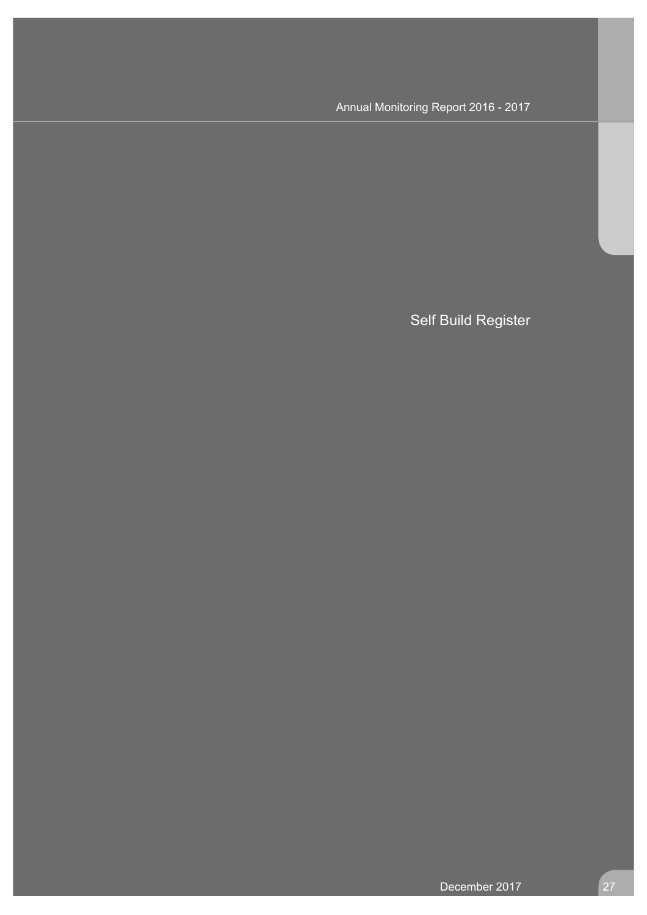Self Build Register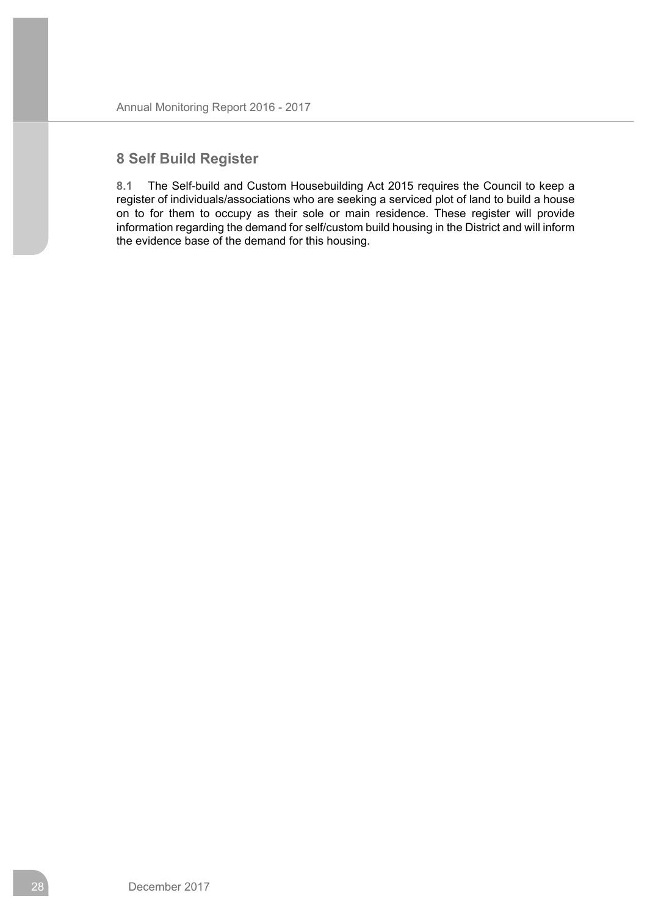# **8 Self Build Register**

**8.1** The Self-build and Custom Housebuilding Act 2015 requires the Council to keep a register of individuals/associations who are seeking a serviced plot of land to build a house on to for them to occupy as their sole or main residence. These register will provide information regarding the demand for self/custom build housing in the District and will inform the evidence base of the demand for this housing.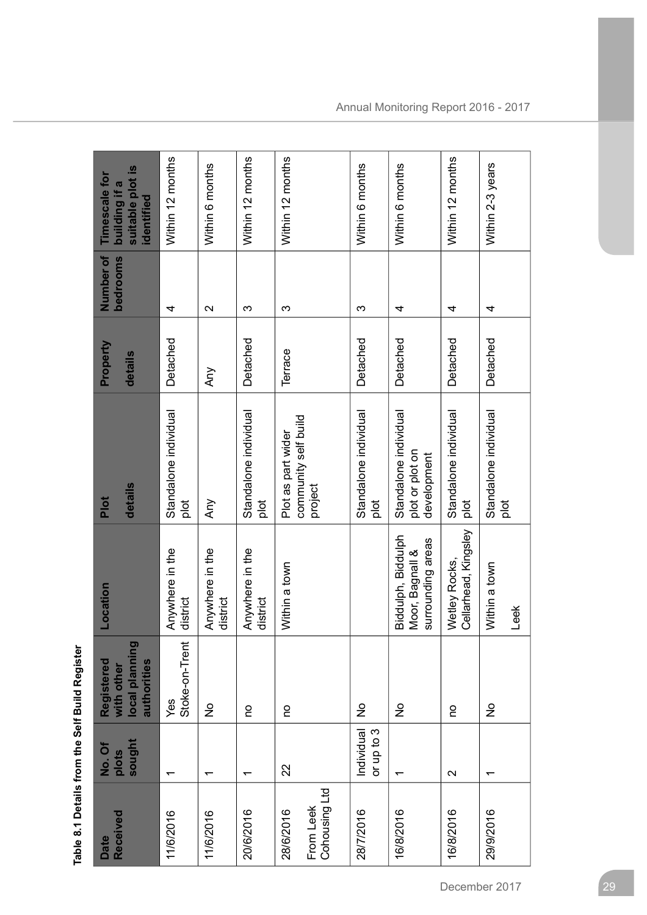Table 8.1 Details from the Self Build Register **Table 8.1 Details from the Self Build Register**

| Received<br><b>Date</b>                 | sought<br>No.Of<br>plots | local planning<br>Registered<br>authorities<br>with other | Location                                                   | details<br>Plot                                         | Property<br>details | Number of<br>bedrooms | suitable plot is<br><b>Timescale for</b><br>building if a<br>identified |
|-----------------------------------------|--------------------------|-----------------------------------------------------------|------------------------------------------------------------|---------------------------------------------------------|---------------------|-----------------------|-------------------------------------------------------------------------|
| 11/6/2016                               | ᠇                        | Stoke-on-Trent<br>Yes                                     | Anywhere in the<br>district                                | Standalone individual<br>plot                           | Detached            | 4                     | Within 12 months                                                        |
| 11/6/2016                               | ᠇                        | $\frac{1}{2}$                                             | Anywhere in the<br>district                                | Any                                                     | Any                 | $\mathbf{\Omega}$     | Within 6 months                                                         |
| 20/6/2016                               | ᅮ                        | o                                                         | Anywhere in the<br>district                                | Standalone individual<br>plot                           | Detached            | က                     | Within 12 months                                                        |
| Cohousing Ltd<br>From Leek<br>28/6/2016 | 22                       | o                                                         | Within a town                                              | community self build<br>Plot as part wider<br>project   | Terrace             | ო                     | Within 12 months                                                        |
| 28/7/2016                               | Individual<br>or up to 3 | $\frac{1}{2}$                                             |                                                            | Standalone individual<br>plot                           | Detached            | ო                     | Within 6 months                                                         |
| 16/8/2016                               | ᠇                        | $\frac{\circ}{\mathsf{Z}}$                                | Biddulph, Biddulph<br>surrounding areas<br>Moor, Bagnall & | Standalone individual<br>plot or plot on<br>development | Detached            | 4                     | Within 6 months                                                         |
| 16/8/2016                               | $\mathbf{\Omega}$        | o                                                         | Cellarhead, Kingsley<br>Wetley Rocks,                      | Standalone individual<br>plot                           | Detached            | 4                     | Within 12 months                                                        |
| 29/9/2016                               | ᡪ                        | $\frac{1}{2}$                                             | Within a town<br>Leek                                      | Standalone individual<br>plot                           | Detached            | 4                     | Within 2-3 years                                                        |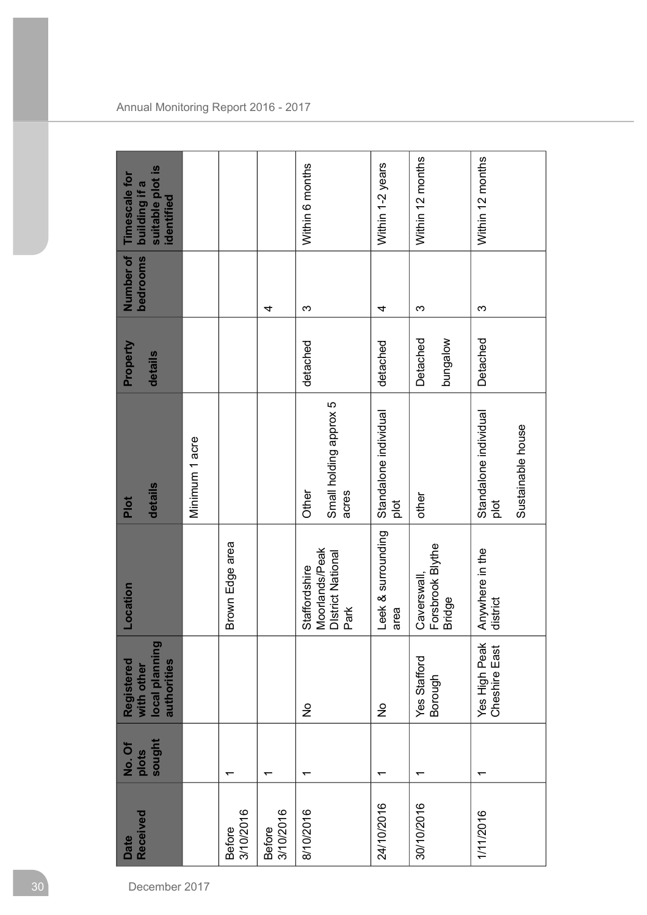| sought<br>No. Of               | local planning<br>authorities<br>Registered<br>with other | Location                                                            | Minimum 1 acre<br>details<br>Plot                  | Property<br>details  | Number of<br>bedrooms | suitable plot is<br>Timescale for<br>building if a<br>identified |
|--------------------------------|-----------------------------------------------------------|---------------------------------------------------------------------|----------------------------------------------------|----------------------|-----------------------|------------------------------------------------------------------|
|                                |                                                           | Brown Edge area                                                     |                                                    |                      |                       |                                                                  |
|                                |                                                           |                                                                     |                                                    |                      | 4                     |                                                                  |
| $\frac{1}{2}$                  |                                                           | Moorlands/Peak<br><b>District National</b><br>Staffordshire<br>Park | Small holding approx 5<br>Other<br>acres           | detached             | က                     | Within 6 months                                                  |
| $\frac{1}{2}$                  |                                                           | Leek & surrounding<br>area                                          | Standalone individual<br>plot                      | detached             | 4                     | Within 1-2 years                                                 |
| Yes Stafford<br>Borough        |                                                           | Forsbrook Blythe<br>Caverswall<br><b>Bridge</b>                     | other                                              | wolebung<br>Detached | ω                     | Within 12 months                                                 |
| Yes High Peak<br>Cheshire East |                                                           | Anywhere in the<br>district                                         | Standalone individual<br>Sustainable house<br>plot | Detached             | က                     | Within 12 months                                                 |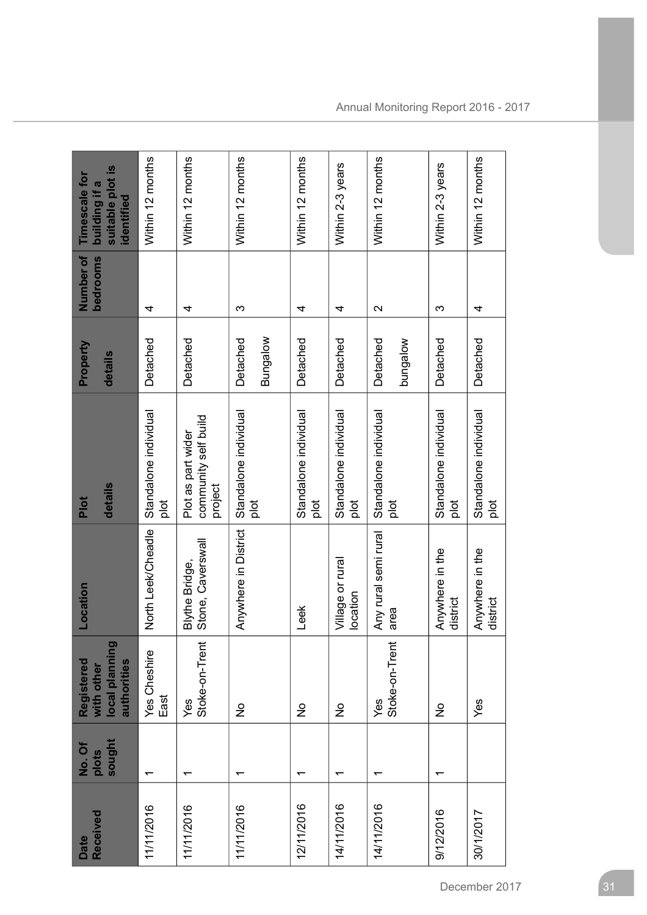| Received<br>Date | sought<br>No.Of<br>plots | local planning<br>Registered<br>authorities<br>with other | Location                                   | details<br>Plot                                       | Property<br>details  | Number of<br>bedrooms | suitable plot is<br>Timescale for<br>building if a<br>identified |
|------------------|--------------------------|-----------------------------------------------------------|--------------------------------------------|-------------------------------------------------------|----------------------|-----------------------|------------------------------------------------------------------|
| 11/11/2016       |                          | Yes Cheshire<br>East                                      | North Leek/Cheadle                         | Standalone individual<br>plot                         | Detached             | 4                     | Within 12 months                                                 |
| 11/11/2016       |                          | Stoke-on-Trent<br>Yes                                     | Stone, Caverswall<br><b>Blythe Bridge,</b> | community self build<br>Plot as part wider<br>project | Detached             | 4                     | Within 12 months                                                 |
| 11/11/2016       |                          | $\frac{\circ}{\mathsf{Z}}$                                | Anywhere in District                       | Standalone individual<br>plot                         | Bungalow<br>Detached | က                     | Within 12 months                                                 |
| 12/11/2016       |                          | $\frac{0}{2}$                                             | Leek                                       | Standalone individual<br>plot                         | Detached             | 4                     | Within 12 months                                                 |
| 14/11/2016       |                          | $\frac{\circ}{\mathsf{Z}}$                                | Village or rural<br>location               | Standalone individual<br>plot                         | Detached             | 4                     | Within 2-3 years                                                 |
| 14/11/2016       |                          | Stoke-on-Trent<br>Yes                                     | Any rural semi rural<br>area               | Standalone individual<br>plot                         | Detached<br>wolebung | $\mathbf{\Omega}$     | Within 12 months                                                 |
| 9/12/2016        |                          | $\frac{\circ}{\mathsf{Z}}$                                | Anywhere in the<br>district                | Standalone individual<br>plot                         | Detached             | က                     | Within 2-3 years                                                 |
| 30/1/2017        |                          | Yes                                                       | Anywhere in the<br>district                | Standalone individual<br>plot                         | Detached             | 4                     | Within 12 months                                                 |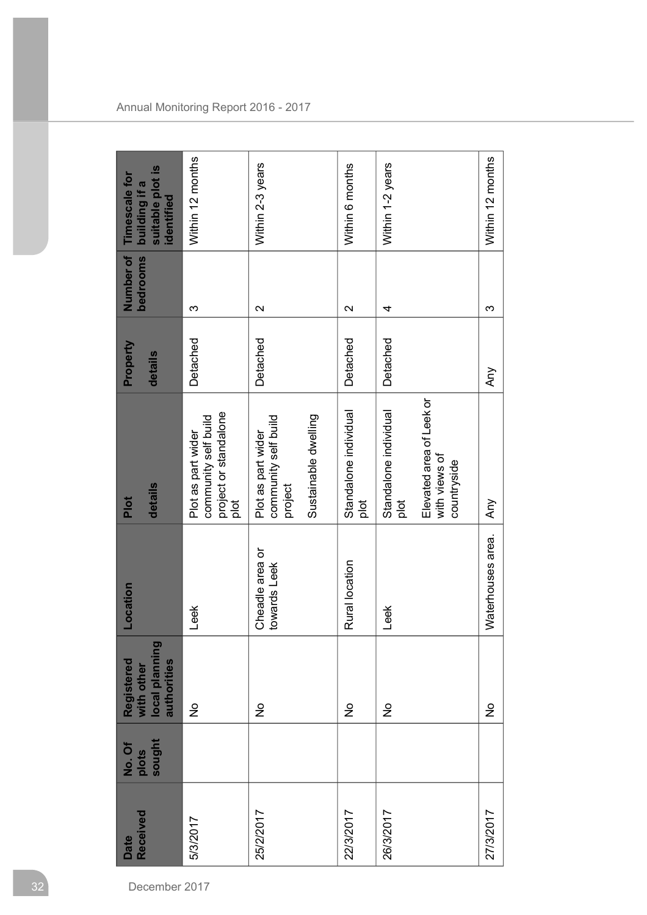| <b>Received</b><br>Date | sought<br>No. Of<br>plots | local planning<br>Registered<br>with other<br>authorities | Location                        | details<br>Plot                                                                           | Property<br>details | Number of<br><b>bedrooms</b> | suitable plot is<br>Timescale for<br>building if a<br>identified |
|-------------------------|---------------------------|-----------------------------------------------------------|---------------------------------|-------------------------------------------------------------------------------------------|---------------------|------------------------------|------------------------------------------------------------------|
| 5/3/2017                |                           | $\frac{1}{2}$                                             | Leek                            | project or standalone<br>community self build<br>Plot as part wider<br>plot               | Detached            | ო                            | Within 12 months                                                 |
| 25/2/2017               |                           | $\frac{1}{2}$                                             | Cheadle area or<br>towards Leek | Sustainable dwelling<br>community self build<br>Plot as part wider<br>project             | Detached            | $\mathbf{\Omega}$            | Within 2-3 years                                                 |
| 22/3/2017               |                           | $\frac{\circ}{\mathsf{Z}}$                                | Rural location                  | Standalone individual<br>plot                                                             | Detached            | $\mathbf{\Omega}$            | Within 6 months                                                  |
| 26/3/2017               |                           | $\frac{1}{2}$                                             | Leek                            | Elevated area of Leek or<br>Standalone individual<br>with views of<br>countryside<br>plot | Detached            | 4                            | Within 1-2 years                                                 |
| 27/3/2017               |                           | $\frac{1}{2}$                                             | Waterhouses area.               | Any                                                                                       | Any                 | က                            | Within 12 months                                                 |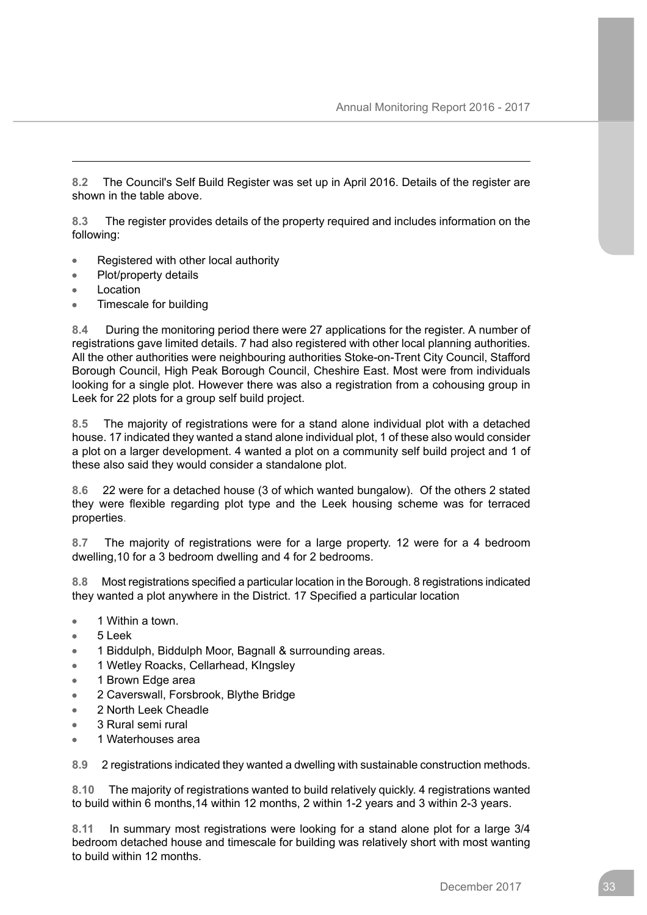**8.2** The Council's Self Build Register was set up in April 2016. Details of the register are shown in the table above.

**8.3** The register provides details of the property required and includes information on the following:

- Registered with other local authority
- Plot/property details  $\bullet$
- Location
- Timescale for building

**8.4** During the monitoring period there were 27 applications for the register. A number of registrations gave limited details. 7 had also registered with other local planning authorities. All the other authorities were neighbouring authorities Stoke-on-Trent City Council, Stafford Borough Council, High Peak Borough Council, Cheshire East. Most were from individuals looking for a single plot. However there was also a registration from a cohousing group in Leek for 22 plots for a group self build project.

**8.5** The majority of registrations were for a stand alone individual plot with a detached house. 17 indicated they wanted a stand alone individual plot, 1 of these also would consider a plot on a larger development. 4 wanted a plot on a community self build project and 1 of these also said they would consider a standalone plot.

**8.6** 22 were for a detached house (3 of which wanted bungalow). Of the others 2 stated they were flexible regarding plot type and the Leek housing scheme was for terraced properties.

**8.7** The majority of registrations were for a large property. 12 were for a 4 bedroom dwelling,10 for a 3 bedroom dwelling and 4 for 2 bedrooms.

**8.8** Most registrations specified a particular location in the Borough. 8 registrations indicated they wanted a plot anywhere in the District. 17 Specified a particular location

- 1 Within a town.
- 5 Leek
- 1 Biddulph, Biddulph Moor, Bagnall & surrounding areas.
- 1 Wetley Roacks, Cellarhead, KIngsley
- 1 Brown Edge area
- 2 Caverswall, Forsbrook, Blythe Bridge
- 2 North Leek Cheadle
- 3 Rural semi rural
- 1 Waterhouses area

**8.9** 2 registrations indicated they wanted a dwelling with sustainable construction methods.

**8.10** The majority of registrations wanted to build relatively quickly. 4 registrations wanted to build within 6 months,14 within 12 months, 2 within 1-2 years and 3 within 2-3 years.

**8.11** In summary most registrations were looking for a stand alone plot for a large 3/4 bedroom detached house and timescale for building was relatively short with most wanting to build within 12 months.